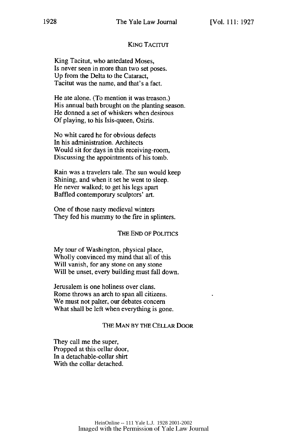# **KING TACITUT**

King Tacitut, who antedated Moses, Is never seen in more than two set poses. Up from the Delta to the Cataract, Tacitut was the name, and that's a fact.

He ate alone. (To mention it was treason.) His annual bath brought on the planting season. He donned a set of whiskers when desirous Of playing, to his Isis-queen, Osiris.

No whit cared he for obvious defects In his administration. Architects Would sit for days in this receiving-room, Discussing the appointments of his tomb.

Rain was a travelers tale. The sun would keep Shining, and when it set he went to sleep. He never walked; to get his legs apart Baffled contemporary sculptors' art.

One of those nasty medieval winters They fed his mummy to the fire in splinters.

### THE END OF POLITICS

My tour of Washington, physical place, Wholly convinced my mind that all of this Will vanish, for any stone on any stone Will be unset, every building must fall down.

Jerusalem is one holiness over clans. Rome throws an arch to span all citizens. We must not palter, our debates concern What shall be left when everything is gone.

## THE **MAN** BY THE CELLAR DOOR

They call me the super, Propped at this cellar door, In a detachable-collar shirt With the collar detached.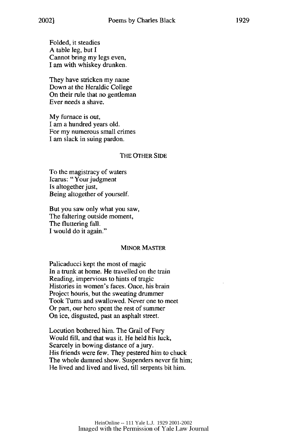Folded, it steadies A table leg, but I Cannot bring my legs even, I am with whiskey drunken.

They have stricken my name Down at the Heraldic College On their rule that no gentleman Ever needs a shave.

My furnace is out, I am a hundred years old. For my numerous small crimes I am slack in suing pardon.

#### THE OTHER SIDE

To the magistracy of waters Icarus: "Your judgment Is altogether just, Being altogether of yourself.

But you saw only what you saw, The faltering outside moment, The fluttering fall. I would do it again."

#### MINOR MASTER

Palicaducci kept the most of magic In a trunk at home. He travelled on the train Reading, impervious to hints of tragic Histories in women's faces. Once, his brain Project houris, but the sweating drummer Took Tums and swallowed. Never one to meet Or part, our hero spent the rest of summer On ice, disgusted, past an asphalt street.

Locution bothered him. The Grail of Fury Would fill, and that was it. He held his luck, Scarcely in bowing distance of a jury. His friends were few. They pestered him to chuck The whole damned show. Suspenders never fit him; He lived and lived and lived, till serpents bit him.

> Imaged with the Permission of Yale Law Journal HeinOnline -- 111 Yale L.J. 1929 2001-2002